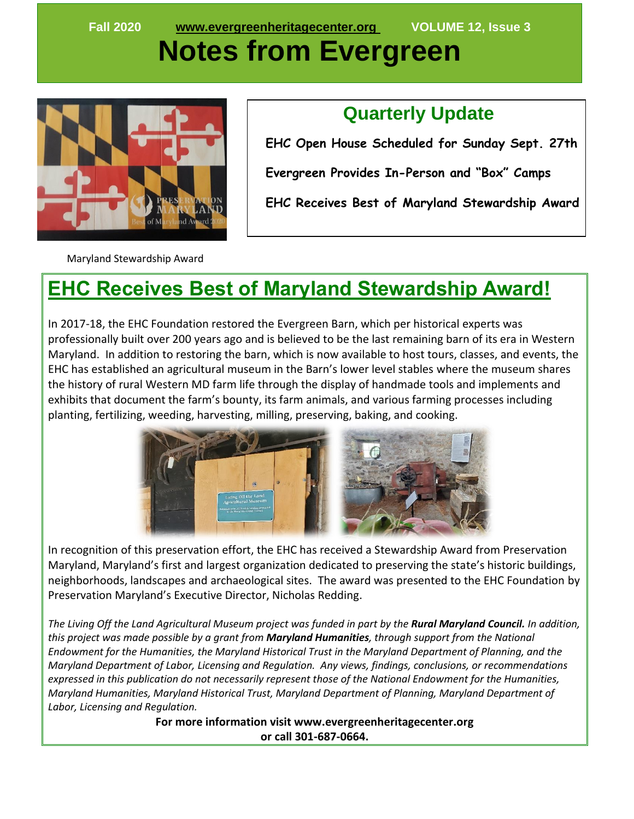**Fall 2020 [www.evergreenheritagecenter.org](about:blank) VOLUME 12, Issue 3**

# **Notes from Evergreen**



#### **Quarterly Update**

 **EHC Open House Scheduled for Sunday Sept. 27th Evergreen Provides In-Person and "Box" Camps EHC Receives Best of Maryland Stewardship Award**

Maryland Stewardship Award

## **EHC Receives Best of Maryland Stewardship Award!**

In 2017-18, the EHC Foundation restored the Evergreen Barn, which per historical experts was professionally built over 200 years ago and is believed to be the last remaining barn of its era in Western Maryland. In addition to restoring the barn, which is now available to host tours, classes, and events, the EHC has established an agricultural museum in the Barn's lower level stables where the museum shares the history of rural Western MD farm life through the display of handmade tools and implements and exhibits that document the farm's bounty, its farm animals, and various farming processes including planting, fertilizing, weeding, harvesting, milling, preserving, baking, and cooking.



In recognition of this preservation effort, the EHC has received a Stewardship Award from Preservation Maryland, Maryland's first and largest organization dedicated to preserving the state's historic buildings, neighborhoods, landscapes and archaeological sites. The award was presented to the EHC Foundation by Preservation Maryland's Executive Director, Nicholas Redding.

*The Living Off the Land Agricultural Museum project was funded in part by the Rural Maryland Council. In addition, this project was made possible by a grant from Maryland Humanities, through support from the National Endowment for the Humanities, the Maryland Historical Trust in the Maryland Department of Planning, and the Maryland Department of Labor, Licensing and Regulation. Any views, findings, conclusions, or recommendations expressed in this publication do not necessarily represent those of the National Endowment for the Humanities, Maryland Humanities, Maryland Historical Trust, Maryland Department of Planning, Maryland Department of Labor, Licensing and Regulation.*

> **For more information visit www.evergreenheritagecenter.org or call 301-687-0664.**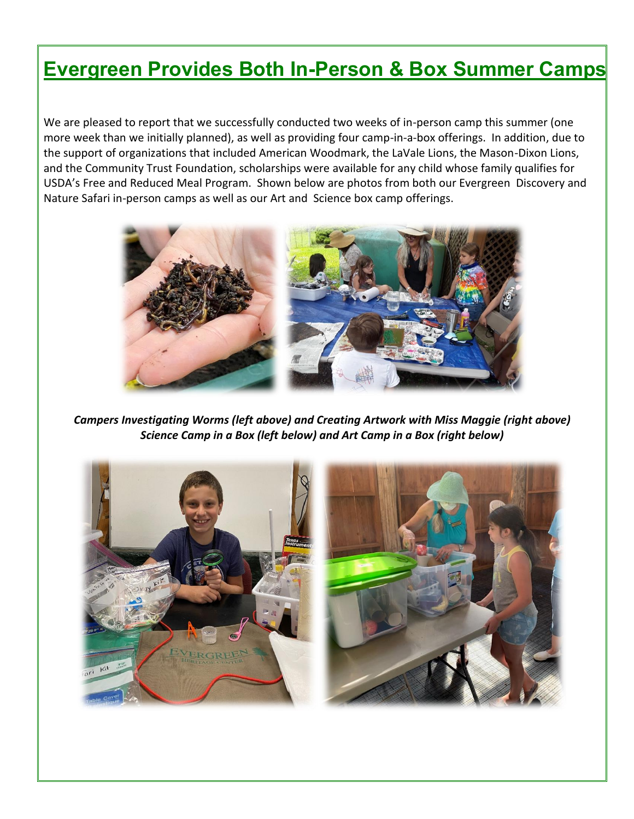#### **Evergreen Provides Both In-Person & Box Summer Camps**

We are pleased to report that we successfully conducted two weeks of in-person camp this summer (one more week than we initially planned), as well as providing four camp-in-a-box offerings. In addition, due to the support of organizations that included American Woodmark, the LaVale Lions, the Mason-Dixon Lions, and the Community Trust Foundation, scholarships were available for any child whose family qualifies for USDA's Free and Reduced Meal Program. Shown below are photos from both our Evergreen Discovery and Nature Safari in-person camps as well as our Art and Science box camp offerings.



*Campers Investigating Worms (left above) and Creating Artwork with Miss Maggie (right above) Science Camp in a Box (left below) and Art Camp in a Box (right below)*

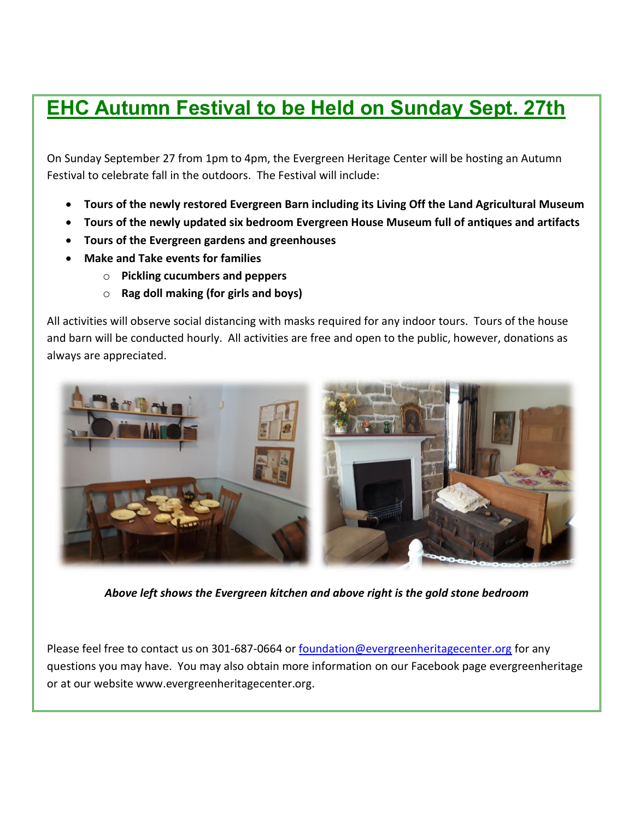## **EHC Autumn Festival to be Held on Sunday Sept. 27th**

On Sunday September 27 from 1pm to 4pm, the Evergreen Heritage Center will be hosting an Autumn Festival to celebrate fall in the outdoors. The Festival will include:

- **Tours of the newly restored Evergreen Barn including its Living Off the Land Agricultural Museum**
- **Tours of the newly updated six bedroom Evergreen House Museum full of antiques and artifacts**
- **Tours of the Evergreen gardens and greenhouses**
- **Make and Take events for families**
	- o **Pickling cucumbers and peppers**
	- o **Rag doll making (for girls and boys)**

All activities will observe social distancing with masks required for any indoor tours. Tours of the house and barn will be conducted hourly. All activities are free and open to the public, however, donations as always are appreciated.



*Above left shows the Evergreen kitchen and above right is the gold stone bedroom*

Please feel free to contact us on 301-687-0664 or [foundation@evergreenheritagecenter.org](mailto:foundation@evergreenheritagecenter.org) for any questions you may have. You may also obtain more information on our Facebook page evergreenheritage or at our website www.evergreenheritagecenter.org.